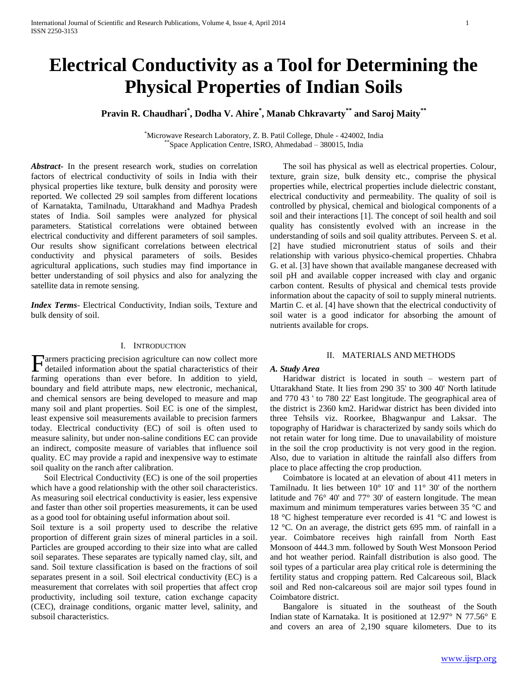# **Electrical Conductivity as a Tool for Determining the Physical Properties of Indian Soils**

# **Pravin R. Chaudhari\* , Dodha V. Ahire\* , Manab Chkravarty\*\* and Saroj Maity\*\***

\*Microwave Research Laboratory, Z. B. Patil College, Dhule - 424002, India \*\*Space Application Centre, ISRO, Ahmedabad – 380015, India

*Abstract***-** In the present research work, studies on correlation factors of electrical conductivity of soils in India with their physical properties like texture, bulk density and porosity were reported. We collected 29 soil samples from different locations of Karnatakta, Tamilnadu, Uttarakhand and Madhya Pradesh states of India. Soil samples were analyzed for physical parameters. Statistical correlations were obtained between electrical conductivity and different parameters of soil samples. Our results show significant correlations between electrical conductivity and physical parameters of soils. Besides agricultural applications, such studies may find importance in better understanding of soil physics and also for analyzing the satellite data in remote sensing.

*Index Terms*- Electrical Conductivity, Indian soils, Texture and bulk density of soil.

#### I. INTRODUCTION

armers practicing precision agriculture can now collect more Farmers practicing precision agriculture can now collect more detailed information about the spatial characteristics of their farming operations than ever before. In addition to yield, boundary and field attribute maps, new electronic, mechanical, and chemical sensors are being developed to measure and map many soil and plant properties. Soil EC is one of the simplest, least expensive soil measurements available to precision farmers today. Electrical conductivity (EC) of soil is often used to measure salinity, but under non-saline conditions EC can provide an indirect, composite measure of variables that influence soil quality. EC may provide a rapid and inexpensive way to estimate soil quality on the ranch after calibration.

 Soil Electrical Conductivity (EC) is one of the soil properties which have a good relationship with the other soil characteristics. As measuring soil electrical conductivity is easier, less expensive and faster than other soil properties measurements, it can be used as a good tool for obtaining useful information about soil.

Soil texture is a soil property used to describe the relative proportion of different grain sizes of mineral particles in a soil. Particles are grouped according to their size into what are called soil separates. These separates are typically named clay, silt, and sand. Soil texture classification is based on the fractions of soil separates present in a soil. Soil electrical conductivity (EC) is a measurement that correlates with soil properties that affect crop productivity, including soil texture, cation exchange capacity (CEC), drainage conditions, organic matter level, salinity, and subsoil characteristics.

 The soil has physical as well as electrical properties. Colour, texture, grain size, bulk density etc., comprise the physical properties while, electrical properties include dielectric constant, electrical conductivity and permeability. The quality of soil is controlled by physical, chemical and biological components of a soil and their interactions [1]. The concept of soil health and soil quality has consistently evolved with an increase in the understanding of soils and soil quality attributes. Perveen S. et al. [2] have studied micronutrient status of soils and their relationship with various physico-chemical properties. Chhabra G. et al. [3] have shown that available manganese decreased with soil pH and available copper increased with clay and organic carbon content. Results of physical and chemical tests provide information about the capacity of soil to supply mineral nutrients. Martin C. et al. [4] have shown that the electrical conductivity of soil water is a good indicator for absorbing the amount of nutrients available for crops.

#### II. MATERIALS AND METHODS

### *A. Study Area*

 Haridwar district is located in south – western part of Uttarakhand State. It lies from 290 35' to 300 40' North latitude and 770 43 ' to 780 22' East longitude. The geographical area of the district is 2360 km2. Haridwar district has been divided into three Tehsils viz. Roorkee, Bhagwanpur and Laksar. The topography of Haridwar is characterized by sandy soils which do not retain water for long time. Due to unavailability of moisture in the soil the crop productivity is not very good in the region. Also, due to variation in altitude the rainfall also differs from place to place affecting the crop production.

 Coimbatore is located at an elevation of about 411 meters in Tamilnadu. It lies between 10° 10' and 11° 30' of the northern latitude and 76° 40' and 77° 30' of eastern longitude. The mean maximum and minimum temperatures varies between 35 °C and 18 °C highest temperature ever recorded is 41 °C and lowest is 12 °C. On an average, the district gets 695 mm. of rainfall in a year. Coimbatore receives high rainfall from North East Monsoon of 444.3 mm. followed by South West Monsoon Period and hot weather period. Rainfall distribution is also good. The soil types of a particular area play critical role is determining the fertility status and cropping pattern. Red Calcareous soil, Black soil and Red non-calcareous soil are major soil types found in Coimbatore district.

 Bangalore is situated in the southeast of the South Indian state of Karnataka. It is positioned at 12.97° N 77.56° E and covers an area of 2,190 square kilometers. Due to its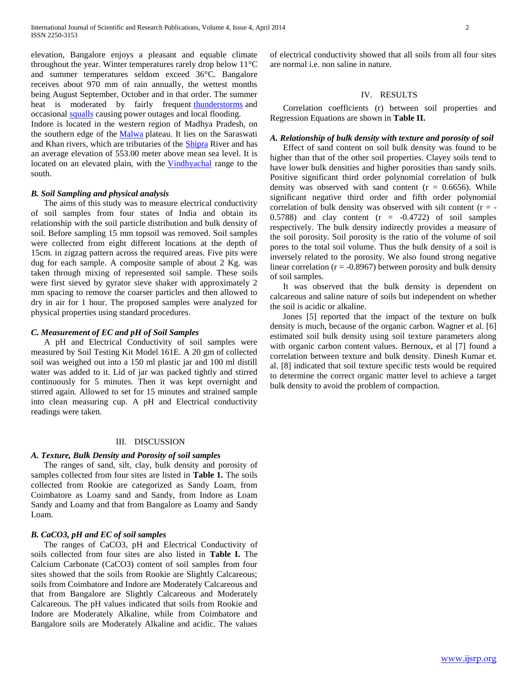elevation, Bangalore enjoys a pleasant and equable climate throughout the year. Winter temperatures rarely drop below 11°C and summer temperatures seldom exceed 36°C. Bangalore receives about 970 mm of rain annually, the wettest months being August September, October and in that order. The summer heat is moderated by fairly frequent [thunderstorms](http://en.wikipedia.org/wiki/Thunderstorm) and occasional [squalls](http://en.wikipedia.org/wiki/Squall) causing power outages and local flooding.

Indore is located in the western region of Madhya Pradesh, on the southern edge of the [Malwa](http://en.wikipedia.org/wiki/Malwa) plateau. It lies on the Saraswati and Khan rivers, which are tributaries of the [Shipra](http://en.wikipedia.org/wiki/Shipra) River and has an average elevation of 553.00 meter above mean sea level. It is located on an elevated plain, with the [Vindhyachal](http://en.wikipedia.org/wiki/Vindhyachal) range to the south.

### *B. Soil Sampling and physical analysis*

 The aims of this study was to measure electrical conductivity of soil samples from four states of India and obtain its relationship with the soil particle distribution and bulk density of soil. Before sampling 15 mm topsoil was removed. Soil samples were collected from eight different locations at the depth of 15cm. in zigzag pattern across the required areas. Five pits were dug for each sample. A composite sample of about 2 Kg. was taken through mixing of represented soil sample. These soils were first sieved by gyrator sieve shaker with approximately 2 mm spacing to remove the coarser particles and then allowed to dry in air for 1 hour. The proposed samples were analyzed for physical properties using standard procedures.

#### *C. Measurement of EC and pH of Soil Samples*

 A pH and Electrical Conductivity of soil samples were measured by Soil Testing Kit Model 161E. A 20 gm of collected soil was weighed out into a 150 ml plastic jar and 100 ml distill water was added to it. Lid of jar was packed tightly and stirred continuously for 5 minutes. Then it was kept overnight and stirred again. Allowed to set for 15 minutes and strained sample into clean measuring cup. A pH and Electrical conductivity readings were taken.

#### III. DISCUSSION

### *A. Texture, Bulk Density and Porosity of soil samples*

 The ranges of sand, silt, clay, bulk density and porosity of samples collected from four sites are listed in **Table 1.** The soils collected from Rookie are categorized as Sandy Loam, from Coimbatore as Loamy sand and Sandy, from Indore as Loam Sandy and Loamy and that from Bangalore as Loamy and Sandy Loam.

#### *B. CaCO3, pH and EC of soil samples*

 The ranges of CaCO3, pH and Electrical Conductivity of soils collected from four sites are also listed in **Table I.** The Calcium Carbonate (CaCO3) content of soil samples from four sites showed that the soils from Rookie are Slightly Calcareous; soils from Coimbatore and Indore are Moderately Calcareous and that from Bangalore are Slightly Calcareous and Moderately Calcareous. The pH values indicated that soils from Rookie and Indore are Moderately Alkaline, while from Coimbatore and Bangalore soils are Moderately Alkaline and acidic. The values of electrical conductivity showed that all soils from all four sites are normal i.e. non saline in nature.

#### IV. RESULTS

 Correlation coefficients (r) between soil properties and Regression Equations are shown in **Table II.**

## *A. Relationship of bulk density with texture and porosity of soil*

 Effect of sand content on soil bulk density was found to be higher than that of the other soil properties. Clayey soils tend to have lower bulk densities and higher porosities than sandy soils. Positive significant third order polynomial correlation of bulk density was observed with sand content  $(r = 0.6656)$ . While significant negative third order and fifth order polynomial correlation of bulk density was observed with silt content  $(r = -$ 0.5788) and clay content  $(r = -0.4722)$  of soil samples respectively. The bulk density indirectly provides a measure of the soil porosity. Soil porosity is the ratio of the volume of soil pores to the total soil volume. Thus the bulk density of a soil is inversely related to the porosity. We also found strong negative linear correlation ( $r = -0.8967$ ) between porosity and bulk density of soil samples.

 It was observed that the bulk density is dependent on calcareous and saline nature of soils but independent on whether the soil is acidic or alkaline.

 Jones [5] reported that the impact of the texture on bulk density is much, because of the organic carbon. Wagner et al. [6] estimated soil bulk density using soil texture parameters along with organic carbon content values. Bernoux, et al [7] found a correlation between texture and bulk density. Dinesh Kumar et. al. [8] indicated that soil texture specific tests would be required to determine the correct organic matter level to achieve a target bulk density to avoid the problem of compaction.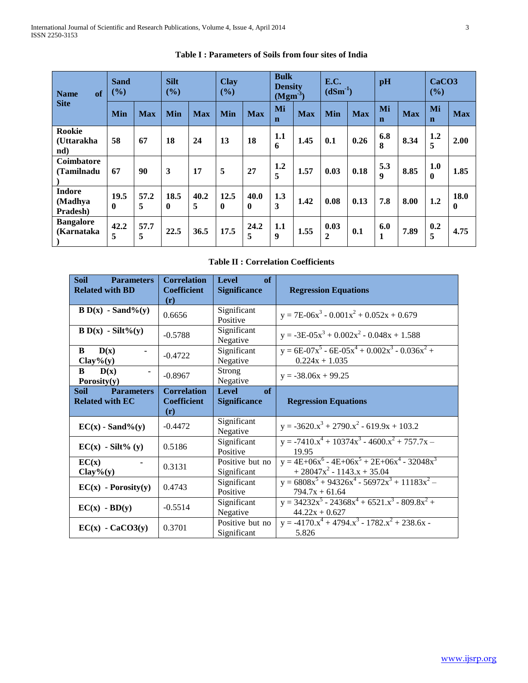| of<br><b>Name</b>                    | <b>Sand</b><br>(%)   |            | <b>Silt</b><br>(%)  |            | <b>Clay</b><br>(%)   |                      | <b>Bulk</b><br><b>Density</b><br>(Mgm <sup>3</sup> ) |            | E.C.<br>$(dSm-1)$    |            | pH                      |            | CaCO <sub>3</sub><br>$($ %) |                      |
|--------------------------------------|----------------------|------------|---------------------|------------|----------------------|----------------------|------------------------------------------------------|------------|----------------------|------------|-------------------------|------------|-----------------------------|----------------------|
| <b>Site</b>                          | Min                  | <b>Max</b> | Min                 | <b>Max</b> | Min                  | <b>Max</b>           | Mi<br>$\mathbf n$                                    | <b>Max</b> | Min                  | <b>Max</b> | Mi<br>$\mathbf n$       | <b>Max</b> | Mi<br>$\mathbf n$           | <b>Max</b>           |
| <b>Rookie</b><br>(Uttarakha<br>nd)   | 58                   | 67         | 18                  | 24         | 13                   | 18                   | 1.1<br>6                                             | 1.45       | 0.1                  | 0.26       | 6.8<br>8                | 8.34       | 1.2<br>5                    | 2.00                 |
| <b>Coimbatore</b><br>(Tamilnadu      | 67                   | 90         | 3                   | 17         | 5                    | 27                   | 1.2<br>5                                             | 1.57       | 0.03                 | 0.18       | 5.3<br>$\boldsymbol{9}$ | 8.85       | 1.0<br>$\mathbf{0}$         | 1.85                 |
| <b>Indore</b><br>(Madhya<br>Pradesh) | 19.5<br>$\mathbf{0}$ | 57.2<br>5  | 18.5<br>$\mathbf 0$ | 40.2<br>5  | 12.5<br>$\mathbf{0}$ | 40.0<br>$\mathbf{0}$ | 1.3<br>3                                             | 1.42       | 0.08                 | 0.13       | 7.8                     | 8.00       | 1.2                         | 18.0<br>$\mathbf{0}$ |
| <b>Bangalore</b><br>(Karnataka       | 42.2<br>5            | 57.7<br>5  | 22.5                | 36.5       | 17.5                 | 24.2<br>5            | 1.1<br>9                                             | 1.55       | 0.03<br>$\mathbf{2}$ | 0.1        | 6.0<br>1                | 7.89       | 0.2<br>5                    | 4.75                 |

## **Table I : Parameters of Soils from four sites of India**

## **Table II : Correlation Coefficients**

| <b>Soil</b><br><b>Parameters</b><br><b>Related with BD</b> | <b>Correlation</b><br><b>Coefficient</b><br>(r)            | <b>Level</b><br>of<br><b>Significance</b> | <b>Regression Equations</b>                                                                                                            |
|------------------------------------------------------------|------------------------------------------------------------|-------------------------------------------|----------------------------------------------------------------------------------------------------------------------------------------|
| $B D(x) - Sand\%(y)$                                       | 0.6656                                                     | Significant<br>Positive                   | $y = 7E-06x^3 - 0.001x^2 + 0.052x + 0.679$                                                                                             |
| $B D(x) - Silt\% (y)$                                      | $-0.5788$                                                  | Significant<br>Negative                   | $y = -3E-05x^3 + 0.002x^2 - 0.048x + 1.588$                                                                                            |
| D(x)<br>B<br>$Clay\% (y)$                                  | $-0.4722$                                                  | Significant<br>Negative                   | $y = 6E - 07x^5 - 6E - 05x^4 + 0.002x^3 - 0.036x^2 +$<br>$0.224x + 1.035$                                                              |
| D(x)<br>B<br>Porosity $(y)$                                | $-0.8967$                                                  | Strong<br>Negative                        | $y = -38.06x + 99.25$                                                                                                                  |
| <b>Parameters</b><br><b>Soil</b><br><b>Related with EC</b> | <b>Correlation</b><br><b>Coefficient</b><br>$(\mathbf{r})$ | <b>Level</b><br>of<br><b>Significance</b> | <b>Regression Equations</b>                                                                                                            |
|                                                            |                                                            |                                           |                                                                                                                                        |
| $EC(x)$ - Sand%(y)                                         | $-0.4472$                                                  | Significant<br>Negative                   | $y = -3620.x^{3} + 2790.x^{2} - 619.9x + 103.2$                                                                                        |
| $EC(x)$ - Silt% (y)                                        | 0.5186                                                     | Significant<br>Positive                   | $y = -7410.x^{4} + 10374x^{3} - 4600.x^{2} + 757.7x -$<br>19.95                                                                        |
| EC(x)<br>$Clay\% (y)$                                      | 0.3131                                                     | Positive but no<br>Significant            | $y = 4E+06x^6 - 4E+06x^5 + 2E+06x^4 - 32048x^3$<br>$+28047x^{2} - 1143.x + 35.04$                                                      |
| $EC(x)$ - Porosity(y)                                      | 0.4743                                                     | Significant<br>Positive                   | $y = 6808x^{5} + 94326x^{4} - 56972x^{3} + 11183x^{2} -$<br>$794.7x + 61.64$                                                           |
| $EC(x)$ - $BD(y)$                                          | $-0.5514$                                                  | Significant<br>Negative                   | $y = 34232x^{5} - 24368x^{4} + 6521x^{3} - 809.8x^{2} +$<br>$44.22x + 0.627$<br>$y = -4170.x^{4} + 4794.x^{3} - 1782.x^{2} + 238.6x -$ |